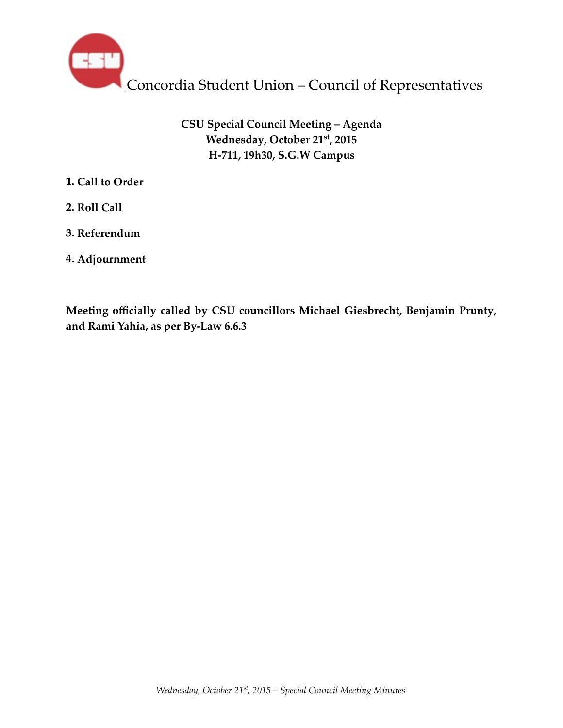

# **CSU Special Council Meeting – Agenda Wednesday, October 21st, 2015 H-711, 19h30, S.G.W Campus**

- **1. Call to Order**
- **2. Roll Call**
- **3. Referendum**
- **4. Adjournment**

**Meeting officially called by CSU councillors Michael Giesbrecht, Benjamin Prunty, and Rami Yahia, as per By-Law 6.6.3**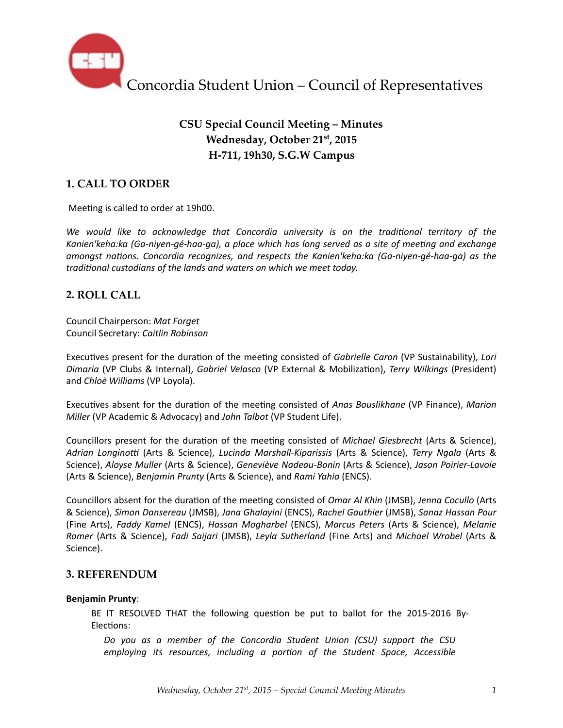

# **CSU Special Council Meeting – Minutes Wednesday, October 21st, 2015 H-711, 19h30, S.G.W Campus**

## **1. CALL TO ORDER**

Meeting is called to order at 19h00.

We would like to acknowledge that Concordia university is on the traditional territory of the Kanien'keha:ka (Ga-niyen-gé-haa-ga), a place which has long served as a site of meeting and exchange *amongst nations. Concordia recognizes, and respects the Kanien'keha:ka (Ga-niyen-gé-haa-ga)* as the *traditional custodians of the lands and waters on which we meet today.* 

### **2. ROLL CALL**

Council Chairperson: *Mat Forget* Council Secretary: *Caitlin Robinson*

Executives present for the duration of the meeting consisted of *Gabrielle Caron* (VP Sustainability), *Lori Dimaria* (VP Clubs & Internal), *Gabriel Velasco* (VP External & Mobiliza%on), *Terry Wilkings* (President) and *Chloë Williams* (VP Loyola).

Executives absent for the duration of the meeting consisted of *Anas Bouslikhane* (VP Finance), Marion *Miller* (VP Academic & Advocacy) and *John Talbot* (VP Student Life).

Councillors present for the duration of the meeting consisted of *Michael Giesbrecht* (Arts & Science), Adrian Longinotti (Arts & Science), *Lucinda Marshall-Kiparissis* (Arts & Science), *Terry Ngala* (Arts & Science), *Aloyse Muller* (Arts & Science), *Geneviève Nadeau-Bonin* (Arts & Science), Jason Poirier-Lavoie (Arts & Science), *Benjamin Prunty* (Arts & Science), and *Rami Yahia* (ENCS).

Councillors absent for the duration of the meeting consisted of *Omar Al Khin* (JMSB), Jenna Cocullo (Arts & Science), *Simon Dansereau* (JMSB), *Jana Ghalayini* (ENCS), *Rachel Gauthier* (JMSB), *Sanaz Hassan Pour* (Fine Arts), *Faddy Kamel* (ENCS), *Hassan Mogharbel* (ENCS), *Marcus Peters* (Arts & Science), *Melanie Romer* (Arts & Science), *Fadi Saijari* (JMSB), *Leyla Sutherland* (Fine Arts) and *Michael Wrobel* (Arts & Science). 

### **3. REFERENDUM**

#### **Benjamin Prunty**:

BE IT RESOLVED THAT the following question be put to ballot for the 2015-2016 By-Elections:

Do you as a member of the Concordia Student Union (CSU) support the CSU *employing its resources, including a portion of the Student Space, Accessible*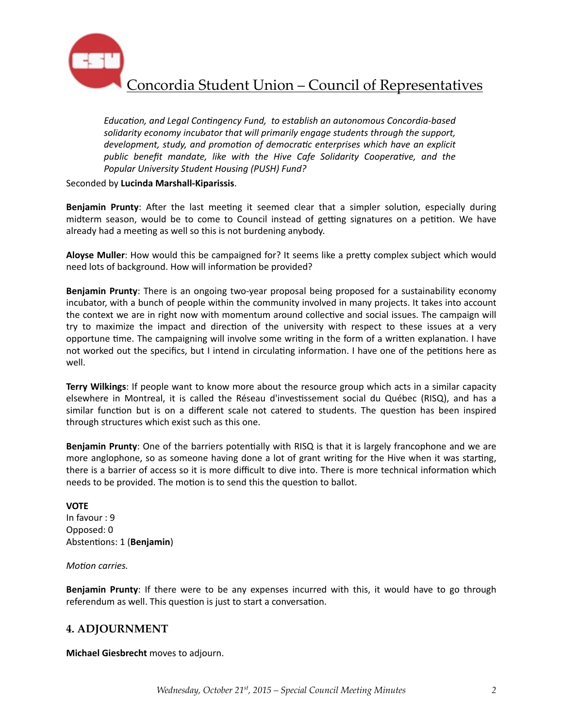

Education, and Legal Contingency Fund, to establish an autonomous Concordia-based solidarity economy incubator that will primarily engage students through the support, *development, study, and promotion of democratic enterprises which have an explicit* public benefit mandate, like with the Hive Cafe Solidarity Cooperative, and the Popular University Student Housing (PUSH) Fund?

Seconded by **Lucinda Marshall-Kiparissis**. 

**Benjamin Prunty**: After the last meeting it seemed clear that a simpler solution, especially during midterm season, would be to come to Council instead of getting signatures on a petition. We have already had a meeting as well so this is not burdening anybody.

**Aloyse Muller**: How would this be campaigned for? It seems like a pretty complex subject which would need lots of background. How will information be provided?

**Benjamin Prunty**: There is an ongoing two-year proposal being proposed for a sustainability economy incubator, with a bunch of people within the community involved in many projects. It takes into account the context we are in right now with momentum around collective and social issues. The campaign will try to maximize the impact and direction of the university with respect to these issues at a very opportune time. The campaigning will involve some writing in the form of a written explanation. I have not worked out the specifics, but I intend in circulating information. I have one of the petitions here as well. 

**Terry Wilkings**: If people want to know more about the resource group which acts in a similar capacity elsewhere in Montreal, it is called the Réseau d'investissement social du Québec (RISQ), and has a similar function but is on a different scale not catered to students. The question has been inspired through structures which exist such as this one.

**Benjamin Prunty**: One of the barriers potentially with RISQ is that it is largely francophone and we are more anglophone, so as someone having done a lot of grant writing for the Hive when it was starting, there is a barrier of access so it is more difficult to dive into. There is more technical information which needs to be provided. The motion is to send this the question to ballot.

# **VOTE**

In favour : 9 Opposed: 0 Abstentions: 1 (Benjamin)

### *Motion carries.*

**Benjamin Prunty**: If there were to be any expenses incurred with this, it would have to go through referendum as well. This question is just to start a conversation.

### **4. ADJOURNMENT**

**Michael Giesbrecht** moves to adjourn.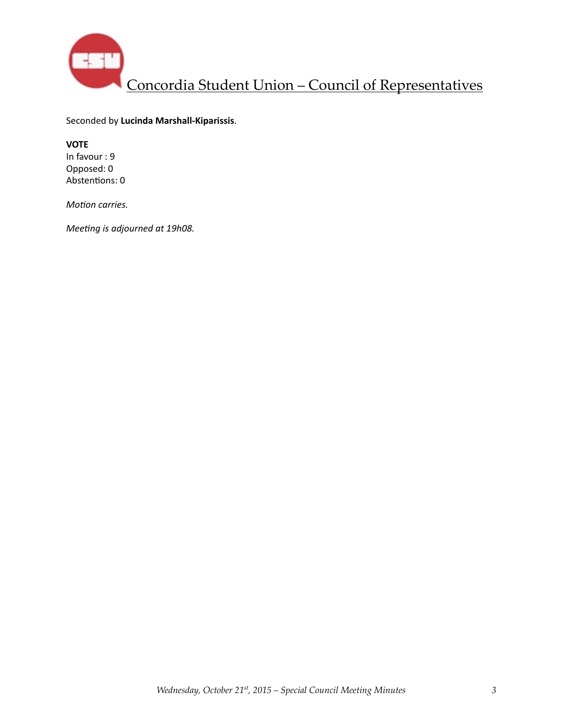

Seconded by **Lucinda Marshall-Kiparissis**. 

**VOTE**  In favour : 9 Opposed: 0 Abstentions: 0

*Motion carries.* 

*Meeting is adjourned at 19h08.*